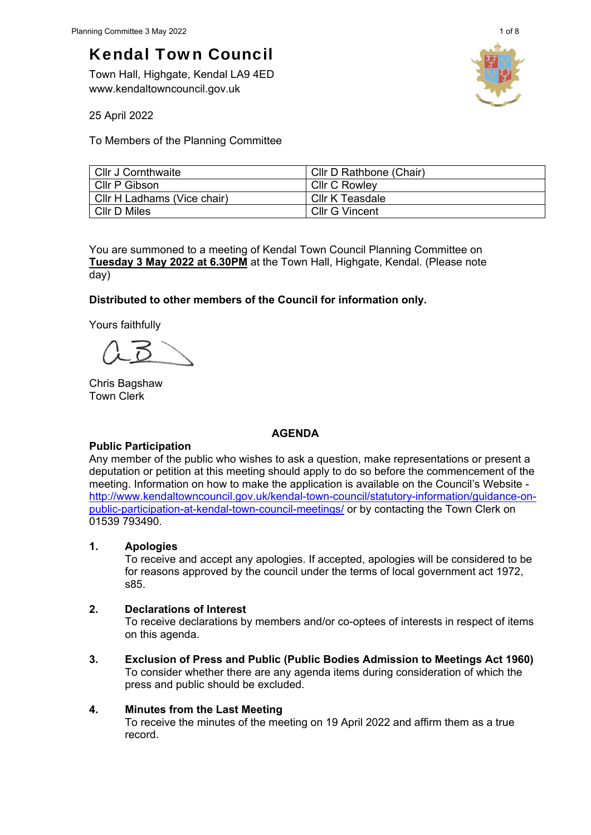# Kendal Town Council

Town Hall, Highgate, Kendal LA9 4ED www.kendaltowncouncil.gov.uk



25 April 2022

To Members of the Planning Committee

| Cllr J Cornthwaite          | Cllr D Rathbone (Chair) |
|-----------------------------|-------------------------|
| Cllr P Gibson               | <b>CIIr C Rowlev</b>    |
| Cllr H Ladhams (Vice chair) | Cllr K Teasdale         |
| <b>CIIr D Miles</b>         | Cllr G Vincent          |

You are summoned to a meeting of Kendal Town Council Planning Committee on **Tuesday 3 May 2022 at 6.30PM** at the Town Hall, Highgate, Kendal. (Please note day)

## **Distributed to other members of the Council for information only.**

Yours faithfully

Chris Bagshaw Town Clerk

## **AGENDA**

## **Public Participation**

Any member of the public who wishes to ask a question, make representations or present a deputation or petition at this meeting should apply to do so before the commencement of the meeting. Information on how to make the application is available on the Council's Website http://www.kendaltowncouncil.gov.uk/kendal-town-council/statutory-information/guidance-onpublic-participation-at-kendal-town-council-meetings/ or by contacting the Town Clerk on 01539 793490.

## **1. Apologies**

To receive and accept any apologies. If accepted, apologies will be considered to be for reasons approved by the council under the terms of local government act 1972, s85.

#### **2. Declarations of Interest**

To receive declarations by members and/or co-optees of interests in respect of items on this agenda.

**3. Exclusion of Press and Public (Public Bodies Admission to Meetings Act 1960)**  To consider whether there are any agenda items during consideration of which the press and public should be excluded.

## **4. Minutes from the Last Meeting**

To receive the minutes of the meeting on 19 April 2022 and affirm them as a true record.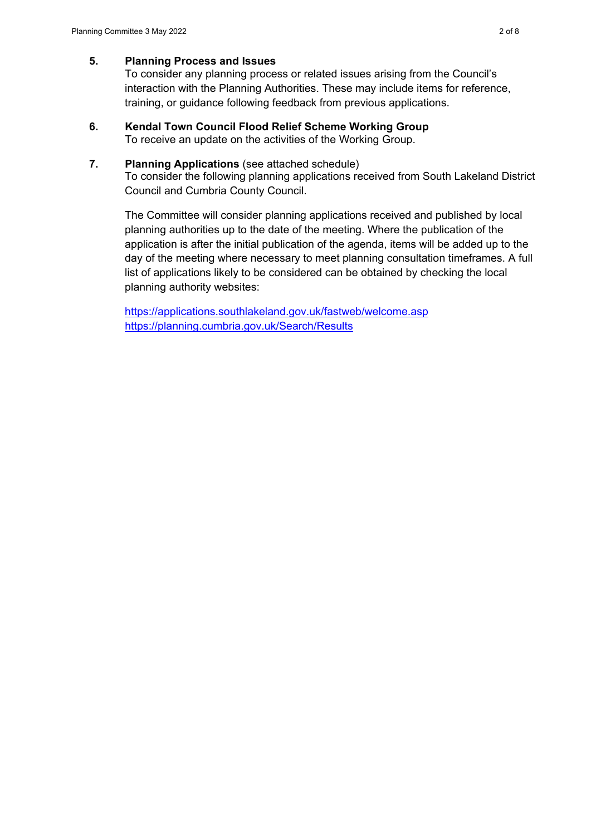#### **5. Planning Process and Issues**

To consider any planning process or related issues arising from the Council's interaction with the Planning Authorities. These may include items for reference, training, or guidance following feedback from previous applications.

#### **6. Kendal Town Council Flood Relief Scheme Working Group**  To receive an update on the activities of the Working Group.

#### **7. Planning Applications** (see attached schedule)

To consider the following planning applications received from South Lakeland District Council and Cumbria County Council.

The Committee will consider planning applications received and published by local planning authorities up to the date of the meeting. Where the publication of the application is after the initial publication of the agenda, items will be added up to the day of the meeting where necessary to meet planning consultation timeframes. A full list of applications likely to be considered can be obtained by checking the local planning authority websites:

https://applications.southlakeland.gov.uk/fastweb/welcome.asp https://planning.cumbria.gov.uk/Search/Results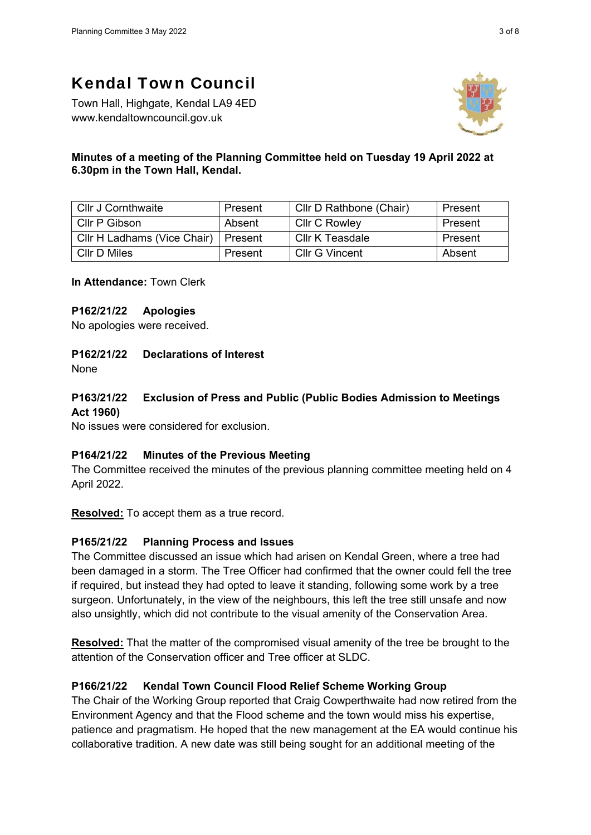## Kendal Town Council

Town Hall, Highgate, Kendal LA9 4ED www.kendaltowncouncil.gov.uk



## **Minutes of a meeting of the Planning Committee held on Tuesday 19 April 2022 at 6.30pm in the Town Hall, Kendal.**

| <b>Cllr J Cornthwaite</b>   | Present | Cllr D Rathbone (Chair) | Present |
|-----------------------------|---------|-------------------------|---------|
| Cllr P Gibson               | Absent  | <b>CIIr C Rowley</b>    | Present |
| Cllr H Ladhams (Vice Chair) | Present | Cllr K Teasdale         | Present |
| CIIr D Miles                | Present | Cllr G Vincent          | Absent  |

**In Attendance:** Town Clerk

#### **P162/21/22 Apologies**

No apologies were received.

## **P162/21/22 Declarations of Interest**

None

## **P163/21/22 Exclusion of Press and Public (Public Bodies Admission to Meetings Act 1960)**

No issues were considered for exclusion.

#### **P164/21/22 Minutes of the Previous Meeting**

The Committee received the minutes of the previous planning committee meeting held on 4 April 2022.

**Resolved:** To accept them as a true record.

## **P165/21/22 Planning Process and Issues**

The Committee discussed an issue which had arisen on Kendal Green, where a tree had been damaged in a storm. The Tree Officer had confirmed that the owner could fell the tree if required, but instead they had opted to leave it standing, following some work by a tree surgeon. Unfortunately, in the view of the neighbours, this left the tree still unsafe and now also unsightly, which did not contribute to the visual amenity of the Conservation Area.

**Resolved:** That the matter of the compromised visual amenity of the tree be brought to the attention of the Conservation officer and Tree officer at SLDC.

## **P166/21/22 Kendal Town Council Flood Relief Scheme Working Group**

The Chair of the Working Group reported that Craig Cowperthwaite had now retired from the Environment Agency and that the Flood scheme and the town would miss his expertise, patience and pragmatism. He hoped that the new management at the EA would continue his collaborative tradition. A new date was still being sought for an additional meeting of the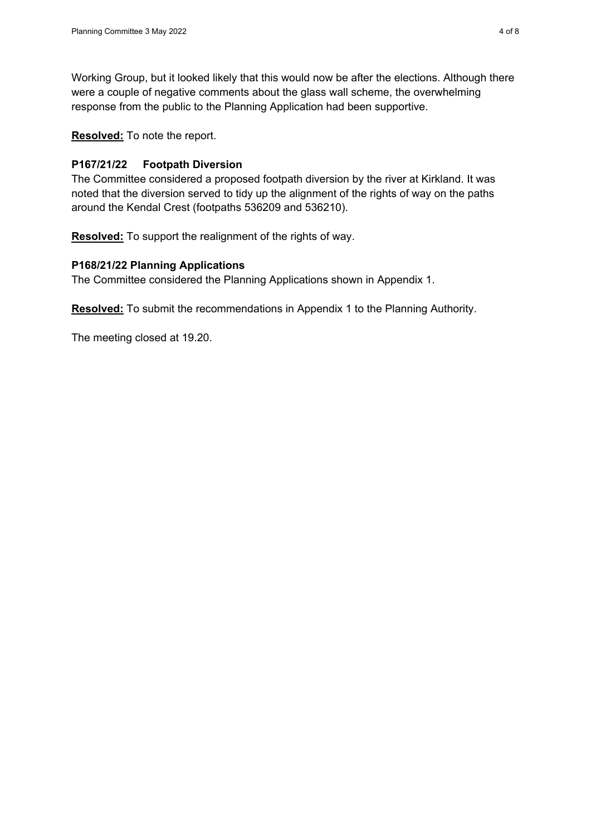Working Group, but it looked likely that this would now be after the elections. Although there were a couple of negative comments about the glass wall scheme, the overwhelming response from the public to the Planning Application had been supportive.

**Resolved:** To note the report.

#### **P167/21/22 Footpath Diversion**

The Committee considered a proposed footpath diversion by the river at Kirkland. It was noted that the diversion served to tidy up the alignment of the rights of way on the paths around the Kendal Crest (footpaths 536209 and 536210).

**Resolved:** To support the realignment of the rights of way.

#### **P168/21/22 Planning Applications**

The Committee considered the Planning Applications shown in Appendix 1.

**Resolved:** To submit the recommendations in Appendix 1 to the Planning Authority.

The meeting closed at 19.20.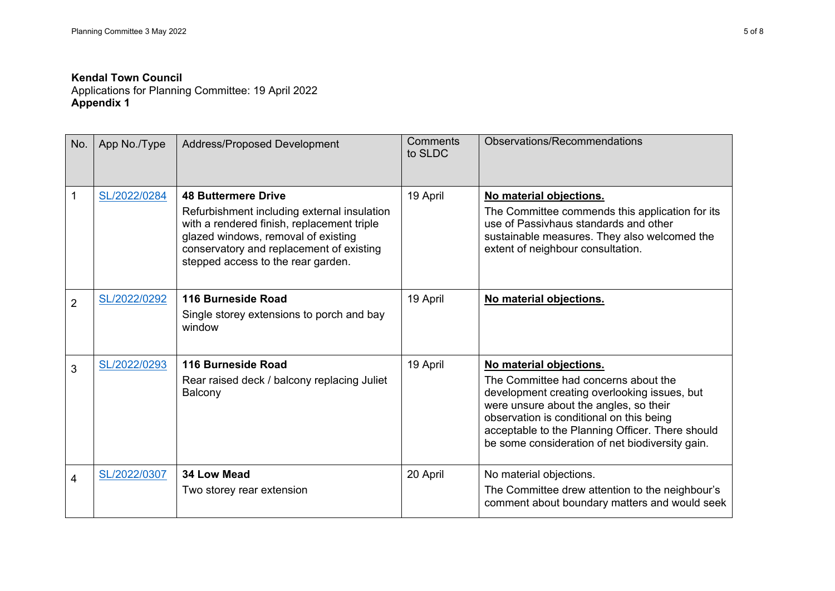#### **Kendal Town Council**

Applications for Planning Committee: 19 April 2022 **Appendix 1** 

| No.            | App No./Type | Address/Proposed Development                                                                                                                                                                                                                     | <b>Comments</b><br>to SLDC | Observations/Recommendations                                                                                                                                                                                                                                                                                 |
|----------------|--------------|--------------------------------------------------------------------------------------------------------------------------------------------------------------------------------------------------------------------------------------------------|----------------------------|--------------------------------------------------------------------------------------------------------------------------------------------------------------------------------------------------------------------------------------------------------------------------------------------------------------|
| 1              | SL/2022/0284 | <b>48 Buttermere Drive</b><br>Refurbishment including external insulation<br>with a rendered finish, replacement triple<br>glazed windows, removal of existing<br>conservatory and replacement of existing<br>stepped access to the rear garden. | 19 April                   | No material objections.<br>The Committee commends this application for its<br>use of Passivhaus standards and other<br>sustainable measures. They also welcomed the<br>extent of neighbour consultation.                                                                                                     |
| $\overline{2}$ | SL/2022/0292 | 116 Burneside Road<br>Single storey extensions to porch and bay<br>window                                                                                                                                                                        | 19 April                   | No material objections.                                                                                                                                                                                                                                                                                      |
| 3              | SL/2022/0293 | 116 Burneside Road<br>Rear raised deck / balcony replacing Juliet<br>Balcony                                                                                                                                                                     | 19 April                   | No material objections.<br>The Committee had concerns about the<br>development creating overlooking issues, but<br>were unsure about the angles, so their<br>observation is conditional on this being<br>acceptable to the Planning Officer. There should<br>be some consideration of net biodiversity gain. |
| 4              | SL/2022/0307 | 34 Low Mead<br>Two storey rear extension                                                                                                                                                                                                         | 20 April                   | No material objections.<br>The Committee drew attention to the neighbour's<br>comment about boundary matters and would seek                                                                                                                                                                                  |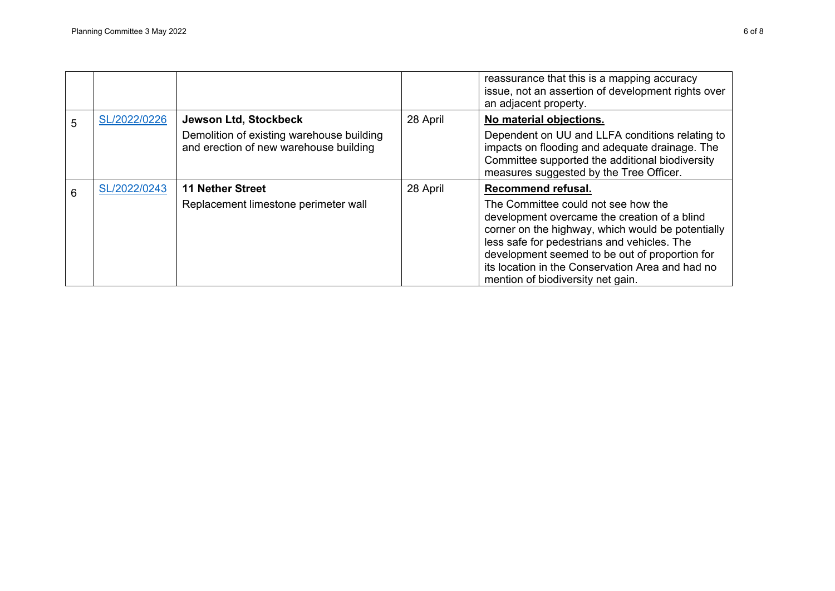|   |              |                                                                                                              |          | reassurance that this is a mapping accuracy<br>issue, not an assertion of development rights over<br>an adjacent property.                                                                                                                                                                                                                               |
|---|--------------|--------------------------------------------------------------------------------------------------------------|----------|----------------------------------------------------------------------------------------------------------------------------------------------------------------------------------------------------------------------------------------------------------------------------------------------------------------------------------------------------------|
| 5 | SL/2022/0226 | Jewson Ltd, Stockbeck<br>Demolition of existing warehouse building<br>and erection of new warehouse building | 28 April | No material objections.<br>Dependent on UU and LLFA conditions relating to<br>impacts on flooding and adequate drainage. The<br>Committee supported the additional biodiversity<br>measures suggested by the Tree Officer.                                                                                                                               |
| 6 | SL/2022/0243 | <b>11 Nether Street</b><br>Replacement limestone perimeter wall                                              | 28 April | Recommend refusal.<br>The Committee could not see how the<br>development overcame the creation of a blind<br>corner on the highway, which would be potentially<br>less safe for pedestrians and vehicles. The<br>development seemed to be out of proportion for<br>its location in the Conservation Area and had no<br>mention of biodiversity net gain. |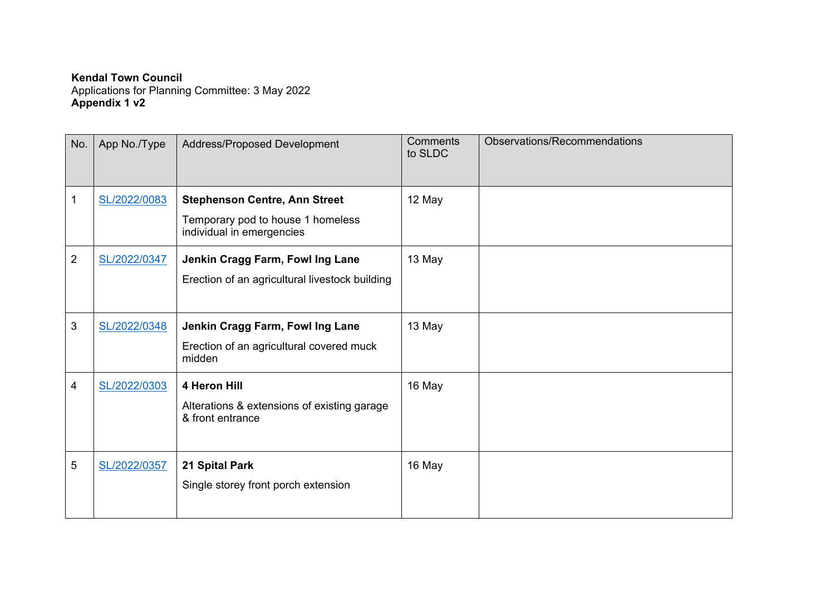**Kendal Town Council**  Applications for Planning Committee: 3 May 2022 **Appendix 1 v2** 

| No.            | App No./Type | <b>Address/Proposed Development</b>                             | <b>Comments</b><br>to SLDC | Observations/Recommendations |
|----------------|--------------|-----------------------------------------------------------------|----------------------------|------------------------------|
| 1              | SL/2022/0083 | <b>Stephenson Centre, Ann Street</b>                            | 12 May                     |                              |
|                |              | Temporary pod to house 1 homeless<br>individual in emergencies  |                            |                              |
| $\overline{2}$ | SL/2022/0347 | Jenkin Cragg Farm, Fowl Ing Lane                                | 13 May                     |                              |
|                |              | Erection of an agricultural livestock building                  |                            |                              |
| 3              | SL/2022/0348 | Jenkin Cragg Farm, Fowl Ing Lane                                | 13 May                     |                              |
|                |              | Erection of an agricultural covered muck<br>midden              |                            |                              |
| 4              | SL/2022/0303 | 4 Heron Hill                                                    | 16 May                     |                              |
|                |              | Alterations & extensions of existing garage<br>& front entrance |                            |                              |
| 5              | SL/2022/0357 | 21 Spital Park                                                  | 16 May                     |                              |
|                |              | Single storey front porch extension                             |                            |                              |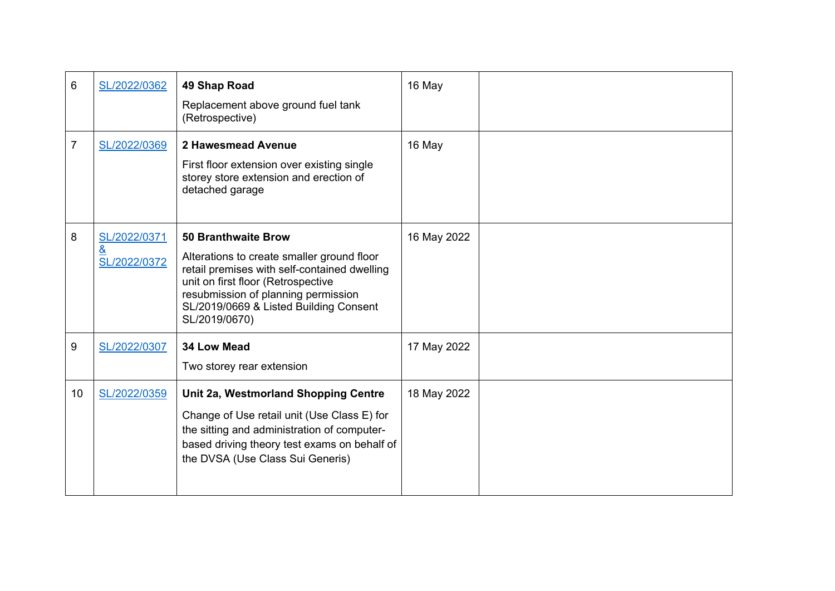| 6  | SL/2022/0362                                    | 49 Shap Road<br>Replacement above ground fuel tank<br>(Retrospective)                                                                                                                                                                                            | 16 May      |  |
|----|-------------------------------------------------|------------------------------------------------------------------------------------------------------------------------------------------------------------------------------------------------------------------------------------------------------------------|-------------|--|
| 7  | SL/2022/0369                                    | 2 Hawesmead Avenue<br>First floor extension over existing single<br>storey store extension and erection of<br>detached garage                                                                                                                                    | 16 May      |  |
| 8  | SL/2022/0371<br>$\underline{8}$<br>SL/2022/0372 | <b>50 Branthwaite Brow</b><br>Alterations to create smaller ground floor<br>retail premises with self-contained dwelling<br>unit on first floor (Retrospective<br>resubmission of planning permission<br>SL/2019/0669 & Listed Building Consent<br>SL/2019/0670) | 16 May 2022 |  |
| 9  | SL/2022/0307                                    | 34 Low Mead<br>Two storey rear extension                                                                                                                                                                                                                         | 17 May 2022 |  |
| 10 | SL/2022/0359                                    | Unit 2a, Westmorland Shopping Centre<br>Change of Use retail unit (Use Class E) for<br>the sitting and administration of computer-<br>based driving theory test exams on behalf of<br>the DVSA (Use Class Sui Generis)                                           | 18 May 2022 |  |